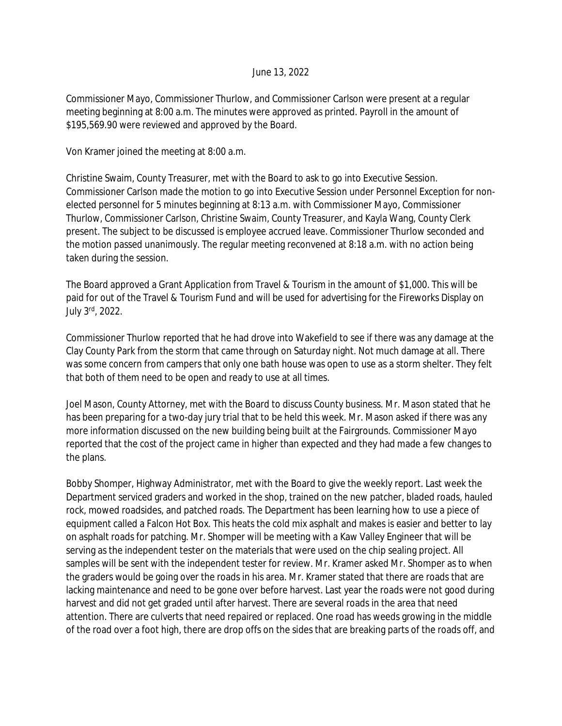## June 13, 2022

Commissioner Mayo, Commissioner Thurlow, and Commissioner Carlson were present at a regular meeting beginning at 8:00 a.m. The minutes were approved as printed. Payroll in the amount of \$195,569.90 were reviewed and approved by the Board.

Von Kramer joined the meeting at 8:00 a.m.

Christine Swaim, County Treasurer, met with the Board to ask to go into Executive Session. Commissioner Carlson made the motion to go into Executive Session under Personnel Exception for nonelected personnel for 5 minutes beginning at 8:13 a.m. with Commissioner Mayo, Commissioner Thurlow, Commissioner Carlson, Christine Swaim, County Treasurer, and Kayla Wang, County Clerk present. The subject to be discussed is employee accrued leave. Commissioner Thurlow seconded and the motion passed unanimously. The regular meeting reconvened at 8:18 a.m. with no action being taken during the session.

The Board approved a Grant Application from Travel & Tourism in the amount of \$1,000. This will be paid for out of the Travel & Tourism Fund and will be used for advertising for the Fireworks Display on July 3rd, 2022.

Commissioner Thurlow reported that he had drove into Wakefield to see if there was any damage at the Clay County Park from the storm that came through on Saturday night. Not much damage at all. There was some concern from campers that only one bath house was open to use as a storm shelter. They felt that both of them need to be open and ready to use at all times.

Joel Mason, County Attorney, met with the Board to discuss County business. Mr. Mason stated that he has been preparing for a two-day jury trial that to be held this week. Mr. Mason asked if there was any more information discussed on the new building being built at the Fairgrounds. Commissioner Mayo reported that the cost of the project came in higher than expected and they had made a few changes to the plans.

Bobby Shomper, Highway Administrator, met with the Board to give the weekly report. Last week the Department serviced graders and worked in the shop, trained on the new patcher, bladed roads, hauled rock, mowed roadsides, and patched roads. The Department has been learning how to use a piece of equipment called a Falcon Hot Box. This heats the cold mix asphalt and makes is easier and better to lay on asphalt roads for patching. Mr. Shomper will be meeting with a Kaw Valley Engineer that will be serving as the independent tester on the materials that were used on the chip sealing project. All samples will be sent with the independent tester for review. Mr. Kramer asked Mr. Shomper as to when the graders would be going over the roads in his area. Mr. Kramer stated that there are roads that are lacking maintenance and need to be gone over before harvest. Last year the roads were not good during harvest and did not get graded until after harvest. There are several roads in the area that need attention. There are culverts that need repaired or replaced. One road has weeds growing in the middle of the road over a foot high, there are drop offs on the sides that are breaking parts of the roads off, and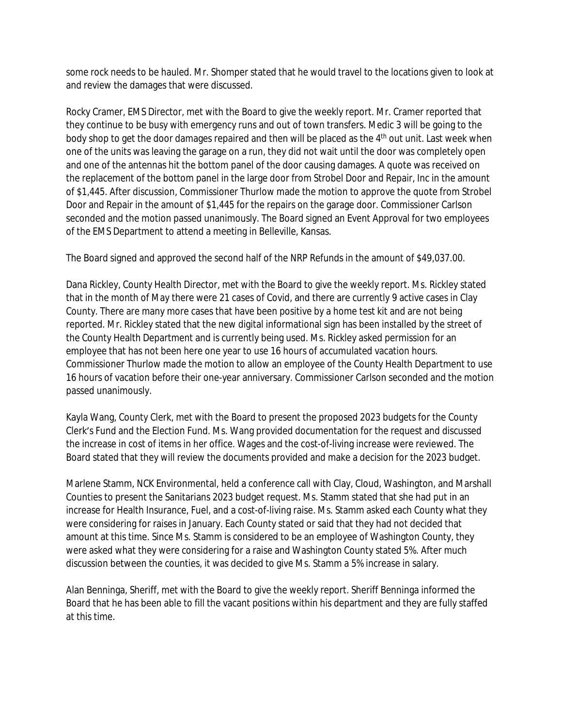some rock needs to be hauled. Mr. Shomper stated that he would travel to the locations given to look at and review the damages that were discussed.

Rocky Cramer, EMS Director, met with the Board to give the weekly report. Mr. Cramer reported that they continue to be busy with emergency runs and out of town transfers. Medic 3 will be going to the body shop to get the door damages repaired and then will be placed as the 4<sup>th</sup> out unit. Last week when one of the units was leaving the garage on a run, they did not wait until the door was completely open and one of the antennas hit the bottom panel of the door causing damages. A quote was received on the replacement of the bottom panel in the large door from Strobel Door and Repair, Inc in the amount of \$1,445. After discussion, Commissioner Thurlow made the motion to approve the quote from Strobel Door and Repair in the amount of \$1,445 for the repairs on the garage door. Commissioner Carlson seconded and the motion passed unanimously. The Board signed an Event Approval for two employees of the EMS Department to attend a meeting in Belleville, Kansas.

The Board signed and approved the second half of the NRP Refunds in the amount of \$49,037.00.

Dana Rickley, County Health Director, met with the Board to give the weekly report. Ms. Rickley stated that in the month of May there were 21 cases of Covid, and there are currently 9 active cases in Clay County. There are many more cases that have been positive by a home test kit and are not being reported. Mr. Rickley stated that the new digital informational sign has been installed by the street of the County Health Department and is currently being used. Ms. Rickley asked permission for an employee that has not been here one year to use 16 hours of accumulated vacation hours. Commissioner Thurlow made the motion to allow an employee of the County Health Department to use 16 hours of vacation before their one-year anniversary. Commissioner Carlson seconded and the motion passed unanimously.

Kayla Wang, County Clerk, met with the Board to present the proposed 2023 budgets for the County Clerk's Fund and the Election Fund. Ms. Wang provided documentation for the request and discussed the increase in cost of items in her office. Wages and the cost-of-living increase were reviewed. The Board stated that they will review the documents provided and make a decision for the 2023 budget.

Marlene Stamm, NCK Environmental, held a conference call with Clay, Cloud, Washington, and Marshall Counties to present the Sanitarians 2023 budget request. Ms. Stamm stated that she had put in an increase for Health Insurance, Fuel, and a cost-of-living raise. Ms. Stamm asked each County what they were considering for raises in January. Each County stated or said that they had not decided that amount at this time. Since Ms. Stamm is considered to be an employee of Washington County, they were asked what they were considering for a raise and Washington County stated 5%. After much discussion between the counties, it was decided to give Ms. Stamm a 5% increase in salary.

Alan Benninga, Sheriff, met with the Board to give the weekly report. Sheriff Benninga informed the Board that he has been able to fill the vacant positions within his department and they are fully staffed at this time.